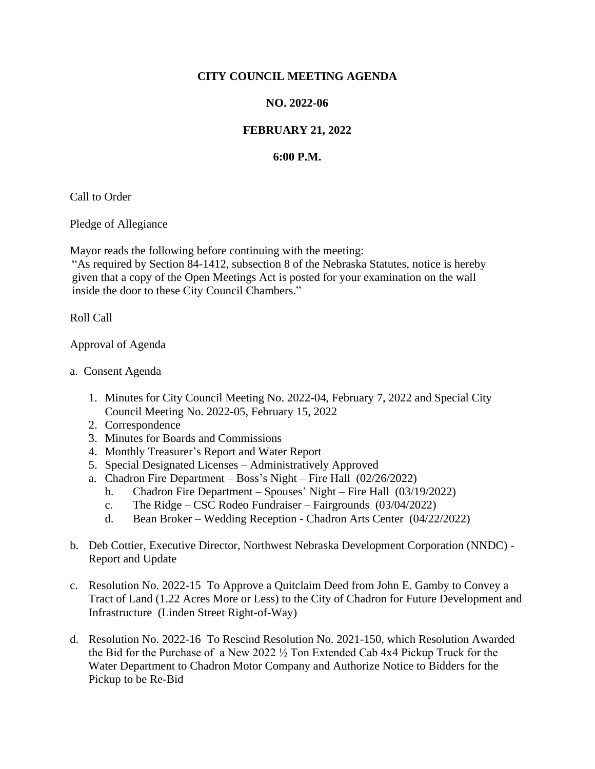## **CITY COUNCIL MEETING AGENDA**

## **NO. 2022-06**

## **FEBRUARY 21, 2022**

## **6:00 P.M.**

Call to Order

Pledge of Allegiance

Mayor reads the following before continuing with the meeting:

"As required by Section 84-1412, subsection 8 of the Nebraska Statutes, notice is hereby given that a copy of the Open Meetings Act is posted for your examination on the wall inside the door to these City Council Chambers."

Roll Call

Approval of Agenda

- a. Consent Agenda
	- 1. Minutes for City Council Meeting No. 2022-04, February 7, 2022 and Special City Council Meeting No. 2022-05, February 15, 2022
	- 2. Correspondence
	- 3. Minutes for Boards and Commissions
	- 4. Monthly Treasurer's Report and Water Report
	- 5. Special Designated Licenses Administratively Approved
	- a. Chadron Fire Department Boss's Night Fire Hall (02/26/2022)
		- b. Chadron Fire Department Spouses' Night Fire Hall (03/19/2022)
		- c. The Ridge CSC Rodeo Fundraiser Fairgrounds (03/04/2022)
		- d. Bean Broker Wedding Reception Chadron Arts Center (04/22/2022)
- b. Deb Cottier, Executive Director, Northwest Nebraska Development Corporation (NNDC) Report and Update
- c. Resolution No. 2022-15 To Approve a Quitclaim Deed from John E. Gamby to Convey a Tract of Land (1.22 Acres More or Less) to the City of Chadron for Future Development and Infrastructure (Linden Street Right-of-Way)
- d. Resolution No. 2022-16 To Rescind Resolution No. 2021-150, which Resolution Awarded the Bid for the Purchase of a New 2022 ½ Ton Extended Cab 4x4 Pickup Truck for the Water Department to Chadron Motor Company and Authorize Notice to Bidders for the Pickup to be Re-Bid